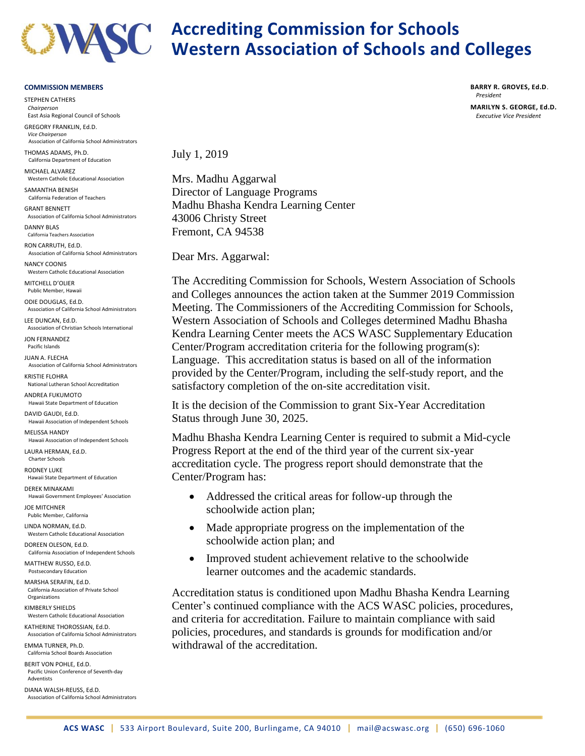

## **Accrediting Commission for Schools Western Association of Schools and Colleges**

## **COMMISSION MEMBERS**

STEPHEN CATHERS *Chairperson* East Asia Regional Council of Schools GREGORY FRANKLIN, Ed.D. *Vice Chairperson* Association of California School Administrators THOMAS ADAMS, Ph.D. California Department of Education MICHAEL ALVAREZ Western Catholic Educational Association SAMANTHA BENISH California Federation of Teachers GRANT BENNETT Association of California School Administrators DANNY BLAS California Teachers Association RON CARRUTH, Ed.D. Association of California School Administrators NANCY COONIS Western Catholic Educational Association MITCHELL D'OLIER Public Member, Hawaii ODIE DOUGLAS, Ed.D. Association of California School Administrators LEE DUNCAN, Ed.D. Association of Christian Schools International JON FERNANDEZ Pacific Islands JUAN A. FLECHA Association of California School Administrators KRISTIE FLOHRA National Lutheran School Accreditation ANDREA FUKUMOTO Hawaii State Department of Education DAVID GAUDI, Ed.D. Hawaii Association of Independent Schools MELISSA HANDY Hawaii Association of Independent Schools LAURA HERMAN, Ed.D. Charter Schools **RODNEY LUKE** Hawaii State Department of Education DEREK MINAKAMI Hawaii Government Employees' Association JOE MITCHNER Public Member, California LINDA NORMAN, Ed.D. Western Catholic Educational Association DOREEN OLESON, Ed.D. California Association of Independent Schools MATTHEW RUSSO, Ed.D. Postsecondary Education MARSHA SERAFIN, Ed.D. California Association of Private School Organizations KIMBERLY SHIELDS Western Catholic Educational Association KATHERINE THOROSSIAN, Ed.D. Association of California School Administrators EMMA TURNER, Ph.D. California School Boards Association BERIT VON POHLE, Ed.D. Pacific Union Conference of Seventh-day **Adventists** 

DIANA WALSH-REUSS, Ed.D. Association of California School Administrators

California Congress of Parents and Teachers,

July 1, 2019

Mrs. Madhu Aggarwal Director of Language Programs Madhu Bhasha Kendra Learning Center 43006 Christy Street Fremont, CA 94538

Dear Mrs. Aggarwal:

The Accrediting Commission for Schools, Western Association of Schools and Colleges announces the action taken at the Summer 2019 Commission Meeting. The Commissioners of the Accrediting Commission for Schools, Western Association of Schools and Colleges determined Madhu Bhasha Kendra Learning Center meets the ACS WASC Supplementary Education Center/Program accreditation criteria for the following program(s): Language. This accreditation status is based on all of the information provided by the Center/Program, including the self-study report, and the satisfactory completion of the on-site accreditation visit.

It is the decision of the Commission to grant Six-Year Accreditation Status through June 30, 2025.

Madhu Bhasha Kendra Learning Center is required to submit a Mid-cycle Progress Report at the end of the third year of the current six-year accreditation cycle. The progress report should demonstrate that the Center/Program has:

- Addressed the critical areas for follow-up through the schoolwide action plan;
- Made appropriate progress on the implementation of the schoolwide action plan; and
- Improved student achievement relative to the schoolwide learner outcomes and the academic standards.

Accreditation status is conditioned upon Madhu Bhasha Kendra Learning Center's continued compliance with the ACS WASC policies, procedures, and criteria for accreditation. Failure to maintain compliance with said policies, procedures, and standards is grounds for modification and/or withdrawal of the accreditation.

**BARRY R. GROVES, Ed.D**. *President*

**MARILYN S. GEORGE, Ed.D.** *Executive Vice President*